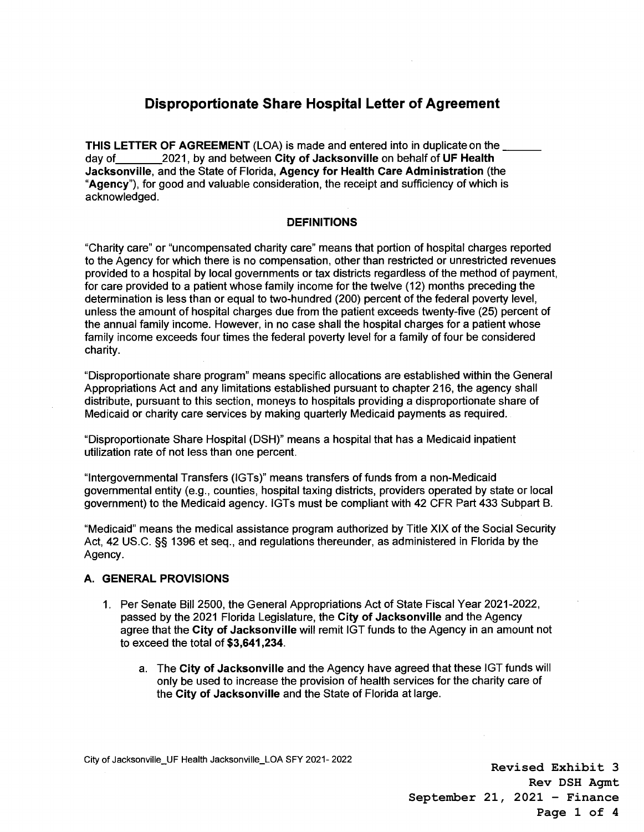## **Disproportionate Share Hospital Letter of Agreement**

**THIS LETTER OF AGREEMENT** (LOA) is made and entered into in duplicate on the \_\_\_<br>day of 2021, by and between City of Jacksonville on behalf of UF Health 2021, by and between City of Jacksonville on behalf of UF Health **Jacksonville,** and the State of Florida, **Agency for Health Care Administration** (the **"Agency"),** for good and valuable consideration, the receipt and sufficiency of which is acknowledged.

## **DEFINITIONS**

"Charity care" or "uncompensated charity care" means that portion of hospital charges reported to the Agency for which there is no compensation, other than restricted or unrestricted revenues provided to a hospital by local governments or tax districts regardless of the method of payment, for care provided to a patient whose family income for the twelve (12) months preceding the determination is less than or equal to two-hundred (200) percent of the federal poverty level, unless the amount of hospital charges due from the patient exceeds twenty-five (25) percent of the annual family income. However, in no case shall the hospital charges for a patient whose family income exceeds four times the federal poverty level for a family of four be considered charity.

"Disproportionate share program" means specific allocations are established within the General Appropriations Act and any limitations established pursuant to chapter 216, the agency shall distribute, pursuant to this section, moneys to hospitals providing a disproportionate share of Medicaid or charity care services by making quarterly Medicaid payments as required.

"Disproportionate Share Hospital (DSH)" means a hospital that has a Medicaid inpatient utilization rate of not less than one percent.

"Intergovernmental Transfers (IGTs)" means transfers of funds from a non-Medicaid governmental entity (e.g., counties, hospital taxing districts, providers operated by state or local government) to the Medicaid agency. IGTs must be compliant with 42 CFR Part 433 Subpart B.

"Medicaid" means the medical assistance program authorized by Title XIX of the Social Security Act, 42 US.C. §§ 1396 et seq., and regulations thereunder, as administered in Florida by the Agency.

## **A. GENERAL PROVISIONS**

- 1. Per Senate Bill 2500, the General Appropriations Act of State Fiscal Year 2021-2022, passed by the 2021 Florida Legislature, the **City of Jacksonville** and the Agency agree that the **City of Jacksonville** will remit IGT funds to the Agency in an amount not to exceed the total of **\$3,641,234.** 
	- a. The **City of Jacksonville** and the Agency have agreed that these IGT funds will only be used to increase the provision of health services for the charity care of the **City of Jacksonville** and the State of Florida at large.

**Revised Exhibit 3 Rev DSH Agmt September 21, 2021 – Finance Page 1 of 4**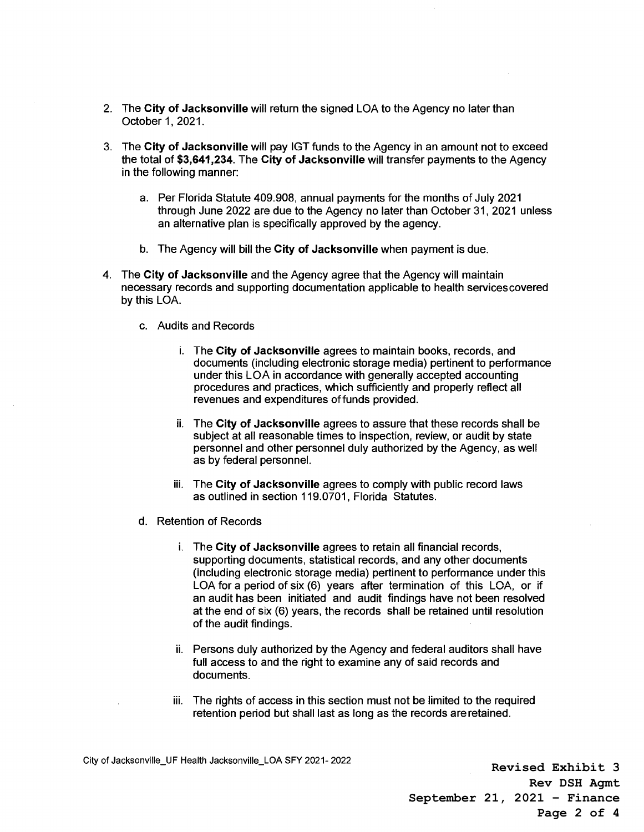- 2. The **City of Jacksonville** will return the signed LOA to the Agency no later than October 1, 2021.
- 3. The **City of Jacksonville** will pay IGT funds to the Agency in an amount not to exceed the total of **\$3,641,234.** The **City of Jacksonville** will transfer payments to the Agency in the following manner:
	- a. Per Florida Statute 409.908, annual payments for the months of July 2021 through June 2022 are due to the Agency no later than October 31, 2021 unless an alternative plan is specifically approved by the agency.
	- b. The Agency will bill the **City of Jacksonville** when payment is due.
- 4. The **City of Jacksonville** and the Agency agree that the Agency will maintain necessary records and supporting documentation applicable to health servicescovered by this LOA.
	- c. Audits and Records
		- i. The **City of Jacksonville** agrees to maintain books, records, and documents (including electronic storage media) pertinent to performance under this LOA in accordance with generally accepted accounting procedures and practices, which sufficiently and properly reflect all revenues and expenditures of funds provided.
		- ii. The **City of Jacksonville** agrees to assure that these records shall be subject at all reasonable times to inspection, review, or audit by state personnel and other personnel duly authorized by the Agency, as well as by federal personnel.
		- iii. The **City of Jacksonville** agrees to comply with public record laws as outlined in section 119.0701, Florida Statutes.
	- d. Retention of Records
		- i. The **City of Jacksonville** agrees to retain all financial records, supporting documents, statistical records, and any other documents (including electronic storage media) pertinent to performance under this LOA for a period of six (6) years after termination of this LOA, or if an audit has been initiated and audit findings have not been resolved at the end of six (6) years, the records shall be retained until resolution of the audit findings.
		- ii. Persons duly authorized by the Agency and federal auditors shall have full access to and the right to examine any of said records and documents.
		- iii. The rights of access in this section must not be limited to the required retention period but shall last as long as the records are retained.

**Revised Exhibit 3 Rev DSH Agmt September 21, 2021 – Finance Page 2 of 4**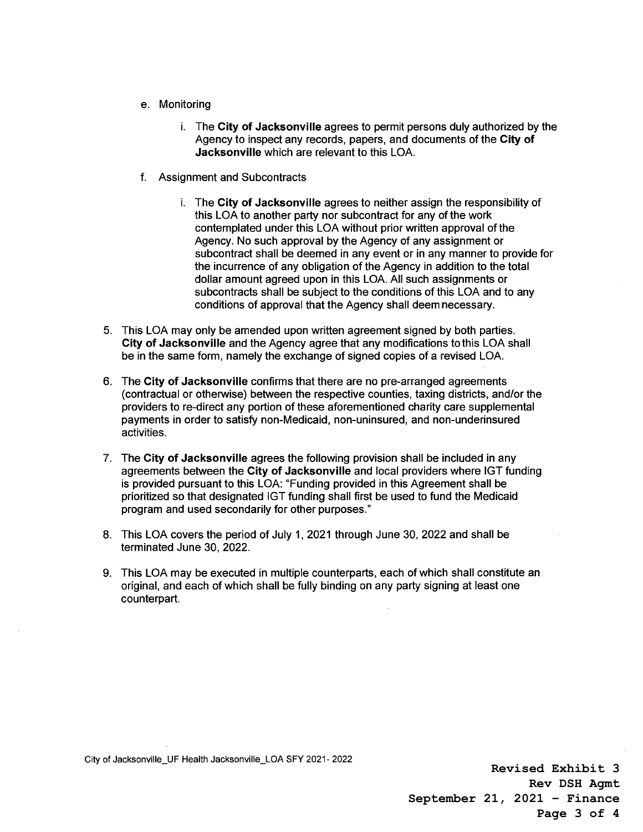- e. Monitoring
	- i. The **City of Jacksonville** agrees to permit persons duly authorized by the Agency to inspect any records, papers, and documents of the **City of Jacksonville** which are relevant to this LOA.
- f. Assignment and Subcontracts
	- i. The **City of Jacksonville** agrees to neither assign the responsibility of this LOA to another party nor subcontract for any of the work contemplated under this LOA without prior written approval of the Agency. No such approval by the Agency of any assignment or subcontract shall be deemed in any event or in any manner to provide for the incurrence of any obligation of the Agency in addition to the total dollar amount agreed upon in this LOA. All such assignments or subcontracts shall be subject to the conditions of this LOA and to any conditions of approval that the Agency shall deem necessary.
- 5. This LOA may only be amended upon written agreement signed by both parties. **City of Jacksonville** and the Agency agree that any modifications to this LOA shall be in the same form, namely the exchange of signed copies of a revised LOA.
- 6. The **City of Jacksonville** confirms that there are no pre-arranged agreements (contractual or otherwise) between the respective counties, taxing districts, and/or the providers to re-direct any portion of these aforementioned charity care supplemental payments in order to satisfy non-Medicaid, non-uninsured, and non-underinsured activities.
- 7. The **City of Jacksonville** agrees the following provision shall be included in any agreements between the **City of Jacksonville** and local providers where IGT funding is provided pursuant to this LOA: "Funding provided in this Agreement shall be prioritized so that designated IGT funding shall first be used to fund the Medicaid program and used secondarily for other purposes."
- 8. This LOA covers the period of July 1, 2021 through June 30, 2022 and shall be terminated June 30, 2022.
- 9. This LOA may be executed in multiple counterparts, each of which shall constitute an original, and each of which shall be fully binding on any party signing at least one counterpart.